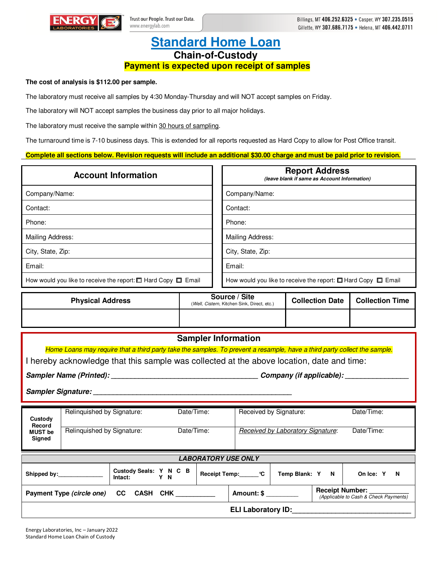

## **Standard Home Loan Chain-of-Custody Payment is expected upon receipt of samples**

## **The cost of analysis is \$112.00 per sample.**

The laboratory must receive all samples by 4:30 Monday-Thursday and will NOT accept samples on Friday.

The laboratory will NOT accept samples the business day prior to all major holidays.

The laboratory must receive the sample within 30 hours of sampling.

The turnaround time is 7-10 business days. This is extended for all reports requested as Hard Copy to allow for Post Office transit.

**Complete all sections below. Revision requests will include an additional \$30.00 charge and must be paid prior to revision.**

| <b>Account Information</b>                                              | <b>Report Address</b><br>(leave blank if same as Account Information)   |
|-------------------------------------------------------------------------|-------------------------------------------------------------------------|
| Company/Name:                                                           | Company/Name:                                                           |
| Contact:                                                                | Contact:                                                                |
| Phone:                                                                  | Phone:                                                                  |
| Mailing Address:                                                        | Mailing Address:                                                        |
| City, State, Zip:                                                       | City, State, Zip:                                                       |
| Email:                                                                  | Email:                                                                  |
| How would you like to receive the report: $\Box$ Hard Copy $\Box$ Email | How would you like to receive the report: $\Box$ Hard Copy $\Box$ Email |

| <b>Physical Address</b> | Source / Site<br>(Well, Cistern, Kitchen Sink, Direct, etc.) | <b>Collection Date</b> | <b>Collection Time</b> |
|-------------------------|--------------------------------------------------------------|------------------------|------------------------|
|                         |                                                              |                        |                        |

|                                                                                                                           |                            |                                          |            | <b>Sampler Information</b> |                                                                 |                                   |            |                       |  |
|---------------------------------------------------------------------------------------------------------------------------|----------------------------|------------------------------------------|------------|----------------------------|-----------------------------------------------------------------|-----------------------------------|------------|-----------------------|--|
| Home Loans may require that a third party take the samples. To prevent a resample, have a third party collect the sample. |                            |                                          |            |                            |                                                                 |                                   |            |                       |  |
| I hereby acknowledge that this sample was collected at the above location, date and time:                                 |                            |                                          |            |                            |                                                                 |                                   |            |                       |  |
|                                                                                                                           |                            | Company (if applicable): _____           |            |                            |                                                                 |                                   |            |                       |  |
|                                                                                                                           |                            |                                          |            |                            |                                                                 |                                   |            |                       |  |
| Custody<br>Record<br><b>MUST be</b><br>Signed                                                                             | Relinguished by Signature: |                                          | Date/Time: |                            | Received by Signature:                                          |                                   | Date/Time: |                       |  |
|                                                                                                                           | Relinguished by Signature: |                                          | Date/Time: |                            |                                                                 | Received by Laboratory Signature: |            | Date/Time:            |  |
| <b>LABORATORY USE ONLY</b>                                                                                                |                            |                                          |            |                            |                                                                 |                                   |            |                       |  |
|                                                                                                                           | Shipped by:                | Custody Seals: Y N C B<br>Intact:<br>Y N |            |                            | Receipt Temp: C                                                 | Temp Blank: Y N                   |            | On Ice: Y<br><b>N</b> |  |
| Payment Type (circle one) CC CASH CHK                                                                                     |                            |                                          | Amount: \$ |                            | <b>Receipt Number:</b><br>(Applicable to Cash & Check Payments) |                                   |            |                       |  |
| <b>ELI Laboratory ID:</b>                                                                                                 |                            |                                          |            |                            |                                                                 |                                   |            |                       |  |